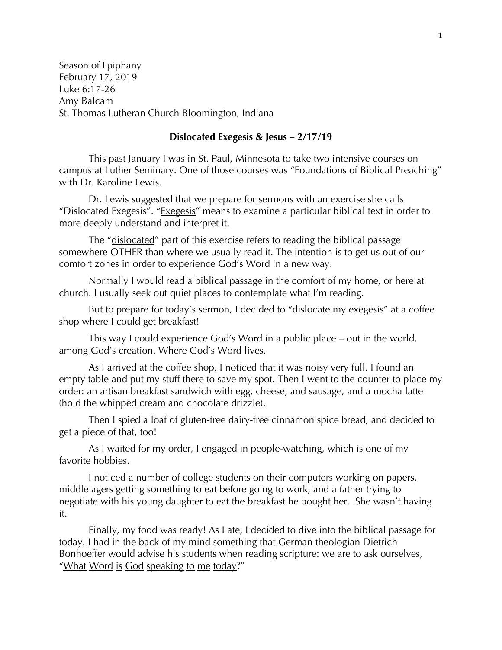Season of Epiphany February 17, 2019 Luke 6:17-26 Amy Balcam St. Thomas Lutheran Church Bloomington, Indiana

## **Dislocated Exegesis & Jesus – 2/17/19**

This past January I was in St. Paul, Minnesota to take two intensive courses on campus at Luther Seminary. One of those courses was "Foundations of Biblical Preaching" with Dr. Karoline Lewis.

Dr. Lewis suggested that we prepare for sermons with an exercise she calls "Dislocated Exegesis". "Exegesis" means to examine a particular biblical text in order to more deeply understand and interpret it.

The "dislocated" part of this exercise refers to reading the biblical passage somewhere OTHER than where we usually read it. The intention is to get us out of our comfort zones in order to experience God's Word in a new way.

Normally I would read a biblical passage in the comfort of my home, or here at church. I usually seek out quiet places to contemplate what I'm reading.

But to prepare for today's sermon, I decided to "dislocate my exegesis" at a coffee shop where I could get breakfast!

This way I could experience God's Word in a public place – out in the world, among God's creation. Where God's Word lives.

As I arrived at the coffee shop, I noticed that it was noisy very full. I found an empty table and put my stuff there to save my spot. Then I went to the counter to place my order: an artisan breakfast sandwich with egg, cheese, and sausage, and a mocha latte (hold the whipped cream and chocolate drizzle).

Then I spied a loaf of gluten-free dairy-free cinnamon spice bread, and decided to get a piece of that, too!

As I waited for my order, I engaged in people-watching, which is one of my favorite hobbies.

I noticed a number of college students on their computers working on papers, middle agers getting something to eat before going to work, and a father trying to negotiate with his young daughter to eat the breakfast he bought her. She wasn't having it.

Finally, my food was ready! As I ate, I decided to dive into the biblical passage for today. I had in the back of my mind something that German theologian Dietrich Bonhoeffer would advise his students when reading scripture: we are to ask ourselves, "What Word is God speaking to me today?"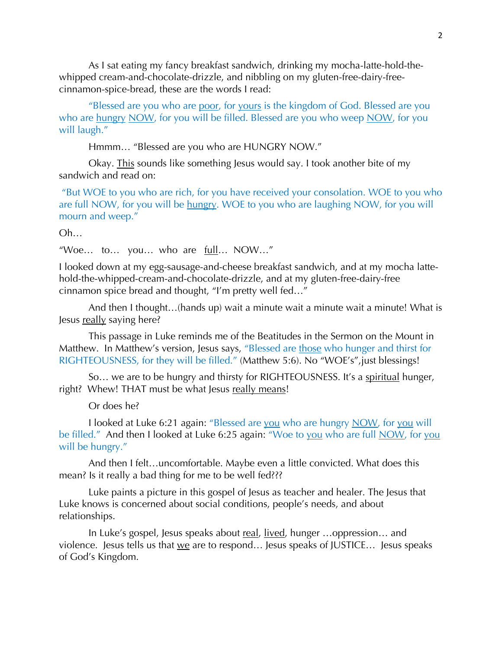As I sat eating my fancy breakfast sandwich, drinking my mocha-latte-hold-thewhipped cream-and-chocolate-drizzle, and nibbling on my gluten-free-dairy-freecinnamon-spice-bread, these are the words I read:

"Blessed are you who are poor, for yours is the kingdom of God. Blessed are you who are hungry NOW, for you will be filled. Blessed are you who weep NOW, for you will laugh."

Hmmm… "Blessed are you who are HUNGRY NOW."

Okay. This sounds like something Jesus would say. I took another bite of my sandwich and read on:

"But WOE to you who are rich, for you have received your consolation. WOE to you who are full NOW, for you will be hungry. WOE to you who are laughing NOW, for you will mourn and weep."

## Oh…

"Woe... to... you... who are  $\frac{full}{null}$ ... NOW..."

I looked down at my egg-sausage-and-cheese breakfast sandwich, and at my mocha lattehold-the-whipped-cream-and-chocolate-drizzle, and at my gluten-free-dairy-free cinnamon spice bread and thought, "I'm pretty well fed…"

And then I thought…(hands up) wait a minute wait a minute wait a minute! What is Jesus really saying here?

This passage in Luke reminds me of the Beatitudes in the Sermon on the Mount in Matthew. In Matthew's version, Jesus says, "Blessed are those who hunger and thirst for RIGHTEOUSNESS, for they will be filled." (Matthew 5:6). No "WOE's",just blessings!

So... we are to be hungry and thirsty for RIGHTEOUSNESS. It's a spiritual hunger, right? Whew! THAT must be what Jesus really means!

Or does he?

I looked at Luke 6:21 again: "Blessed are you who are hungry NOW, for you will be filled." And then I looked at Luke 6:25 again: "Woe to you who are full NOW, for you will be hungry."

And then I felt…uncomfortable. Maybe even a little convicted. What does this mean? Is it really a bad thing for me to be well fed???

Luke paints a picture in this gospel of Jesus as teacher and healer. The Jesus that Luke knows is concerned about social conditions, people's needs, and about relationships.

In Luke's gospel, Jesus speaks about real, lived, hunger ...oppression... and violence. Jesus tells us that  $we$  are to respond... Jesus speaks of JUSTICE... Jesus speaks of God's Kingdom.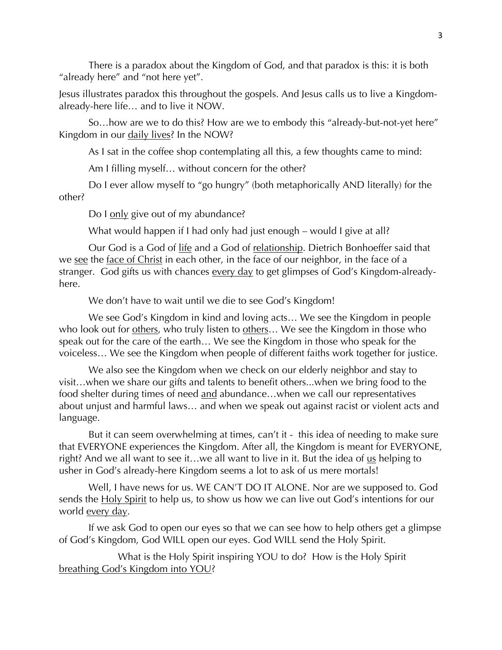There is a paradox about the Kingdom of God, and that paradox is this: it is both "already here" and "not here yet".

Jesus illustrates paradox this throughout the gospels. And Jesus calls us to live a Kingdomalready-here life… and to live it NOW.

So…how are we to do this? How are we to embody this "already-but-not-yet here" Kingdom in our daily lives? In the NOW?

As I sat in the coffee shop contemplating all this, a few thoughts came to mind:

Am I filling myself… without concern for the other?

Do I ever allow myself to "go hungry" (both metaphorically AND literally) for the other?

Do I only give out of my abundance?

What would happen if I had only had just enough – would I give at all?

Our God is a God of life and a God of relationship. Dietrich Bonhoeffer said that we see the face of Christ in each other, in the face of our neighbor, in the face of a stranger. God gifts us with chances every day to get glimpses of God's Kingdom-alreadyhere.

We don't have to wait until we die to see God's Kingdom!

We see God's Kingdom in kind and loving acts… We see the Kingdom in people who look out for others, who truly listen to others... We see the Kingdom in those who speak out for the care of the earth… We see the Kingdom in those who speak for the voiceless… We see the Kingdom when people of different faiths work together for justice.

We also see the Kingdom when we check on our elderly neighbor and stay to visit…when we share our gifts and talents to benefit others...when we bring food to the food shelter during times of need and abundance...when we call our representatives about unjust and harmful laws… and when we speak out against racist or violent acts and language.

But it can seem overwhelming at times, can't it - this idea of needing to make sure that EVERYONE experiences the Kingdom. After all, the Kingdom is meant for EVERYONE, right? And we all want to see it...we all want to live in it. But the idea of  $us$  helping to</u> usher in God's already-here Kingdom seems a lot to ask of us mere mortals!

Well, I have news for us. WE CAN'T DO IT ALONE. Nor are we supposed to. God sends the Holy Spirit to help us, to show us how we can live out God's intentions for our world every day.

If we ask God to open our eyes so that we can see how to help others get a glimpse of God's Kingdom, God WILL open our eyes. God WILL send the Holy Spirit.

What is the Holy Spirit inspiring YOU to do? How is the Holy Spirit breathing God's Kingdom into YOU?